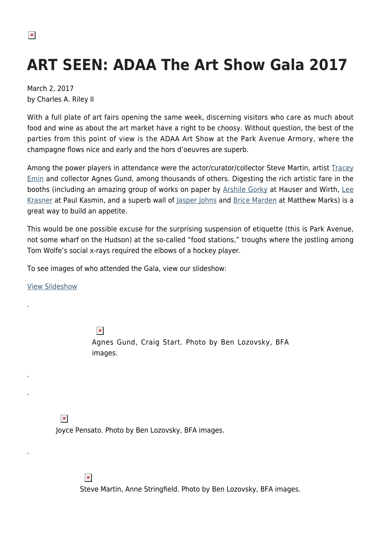## **ART SEEN: ADAA The Art Show Gala 2017**

March 2, 2017 by Charles A. Riley II

With a full plate of art fairs opening the same week, discerning visitors who care as much about food and wine as about the art market have a right to be choosy. Without question, the best of the parties from this point of view is the ADAA Art Show at the Park Avenue Armory, where the champagne flows nice and early and the hors d'oeuvres are superb.

Among the power players in attendance were the actor/curator/collector Steve Martin, artist [Tracey](http://www.traceyeminstudio.com/) [Emin](http://www.traceyeminstudio.com/) and collector Agnes Gund, among thousands of others. Digesting the rich artistic fare in the booths (including an amazing group of works on paper by [Arshile Gorky](http://arshilegorkyfoundation.org/) at Hauser and Wirth, [Lee](https://hamptonsarthub.com/2016/04/28/art-review-lee-krasner-retrospective-yields-context-and-personality/) [Krasner](https://hamptonsarthub.com/2016/04/28/art-review-lee-krasner-retrospective-yields-context-and-personality/) at Paul Kasmin, and a superb wall of [Jasper Johns](http://www.jasper-johns.org/) and [Brice Marden](http://www.matthewmarks.com/new-york/artists/brice-marden/) at Matthew Marks) is a great way to build an appetite.

This would be one possible excuse for the surprising suspension of etiquette (this is Park Avenue, not some wharf on the Hudson) at the so-called "food stations," troughs where the jostling among Tom Wolfe's social x-rays required the elbows of a hockey player.

To see images of who attended the Gala, view our slideshow:

[View Slideshow](https://hamptonsarthub.com/slideshow/in-pictures-adaa-the-art-show-gala-2017)

.

.

.

.

 $\pmb{\times}$ Agnes Gund, Craig Start. Photo by Ben Lozovsky, BFA images.

 $\pmb{\times}$ 

Joyce Pensato. Photo by Ben Lozovsky, BFA images.

 $\pmb{\times}$ 

Steve Martin, Anne Stringfield. Photo by Ben Lozovsky, BFA images.